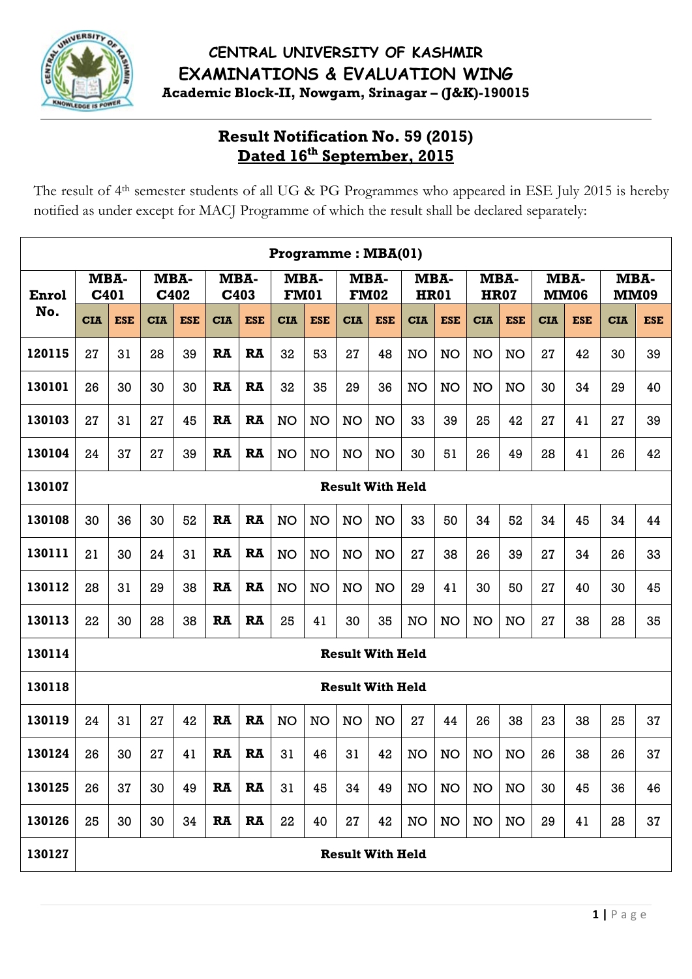

# **Result Notification No. 59 (2015) Dated 16th September, 2015**

The result of 4<sup>th</sup> semester students of all UG & PG Programmes who appeared in ESE July 2015 is hereby notified as under except for MACJ Programme of which the result shall be declared separately:

|        |                                                                                                                                                   |            |            |            |              |            | Programme: MBA(01) |            |                         |                     |             |            |            |                     |            |                     |                     |            |
|--------|---------------------------------------------------------------------------------------------------------------------------------------------------|------------|------------|------------|--------------|------------|--------------------|------------|-------------------------|---------------------|-------------|------------|------------|---------------------|------------|---------------------|---------------------|------------|
| Enrol  | MBA-<br>C401                                                                                                                                      |            | MBA-       | C402       | MBA-<br>C403 |            | <b>FM01</b>        | MBA-       |                         | MBA-<br><b>FM02</b> | <b>HR01</b> | MBA-       |            | MBA-<br><b>HR07</b> |            | MBA-<br><b>MM06</b> | MBA-<br><b>MM09</b> |            |
| No.    | <b>CIA</b>                                                                                                                                        | <b>ESE</b> | <b>CIA</b> | <b>ESE</b> | <b>CIA</b>   | <b>ESE</b> | <b>CIA</b>         | <b>ESE</b> | <b>CIA</b>              | <b>ESE</b>          | <b>CIA</b>  | <b>ESE</b> | <b>CIA</b> | <b>ESE</b>          | <b>CIA</b> | <b>ESE</b>          | <b>CIA</b>          | <b>ESE</b> |
| 120115 | 27                                                                                                                                                | 31         | 28         | 39         | RA           | <b>RA</b>  | 32                 | 53         | 27                      | 48                  | NO          | NO         | NO         | NO                  | 27         | 42                  | 30                  | 39         |
| 130101 | 26                                                                                                                                                | 30         | 30         | 30         | <b>RA</b>    | <b>RA</b>  | 32                 | 35         | 29                      | 36                  | NO          | <b>NO</b>  | <b>NO</b>  | <b>NO</b>           | 30         | 34                  | 29                  | 40         |
| 130103 | 27                                                                                                                                                | 31         | 27         | 45         | <b>RA</b>    | <b>RA</b>  | NO                 | <b>NO</b>  | NO                      | NO                  | 33          | 39         | 25         | 42                  | 27         | 41                  | 27                  | 39         |
| 130104 | 24                                                                                                                                                | 37         | 27         | 39         | <b>RA</b>    | <b>RA</b>  | <b>NO</b>          | NO         | NO                      | <b>NO</b>           | 30          | 51         | 26         | 49                  | 28         | 41                  | 26                  | 42         |
| 130107 | <b>Result With Held</b><br>36<br>30<br>52<br><b>RA</b><br><b>RA</b><br>52<br>30<br>NO<br>NO<br>NO<br>NO<br>33<br>50<br>34<br>34<br>34<br>45<br>44 |            |            |            |              |            |                    |            |                         |                     |             |            |            |                     |            |                     |                     |            |
| 130108 |                                                                                                                                                   |            |            |            |              |            |                    |            |                         |                     |             |            |            |                     |            |                     |                     |            |
| 130111 | 21                                                                                                                                                | 30         | 24         | 31         | <b>RA</b>    | <b>RA</b>  | NO                 | NO         | NO                      | NO                  | 27          | 38         | 26         | 39                  | 27         | 34                  | 26                  | 33         |
| 130112 | 28                                                                                                                                                | 31         | 29         | 38         | <b>RA</b>    | <b>RA</b>  | NO                 | NO         | NO                      | NO                  | 29          | 41         | 30         | 50                  | 27         | 40                  | 30                  | 45         |
| 130113 | 22                                                                                                                                                | 30         | 28         | 38         | <b>RA</b>    | <b>RA</b>  | 25                 | 41         | 30                      | 35                  | NO          | NO         | <b>NO</b>  | <b>NO</b>           | 27         | 38                  | 28                  | 35         |
| 130114 |                                                                                                                                                   |            |            |            |              |            |                    |            | <b>Result With Held</b> |                     |             |            |            |                     |            |                     |                     |            |
| 130118 |                                                                                                                                                   |            |            |            |              |            |                    |            | <b>Result With Held</b> |                     |             |            |            |                     |            |                     |                     |            |
| 130119 | 24                                                                                                                                                | 31         | 27         | 42         | <b>RA</b>    | <b>RA</b>  | NO                 | <b>NO</b>  | <b>NO</b>               | <b>NO</b>           | 27          | 44         | 26         | 38                  | 23         | 38                  | 25                  | 37         |
| 130124 | 26                                                                                                                                                | 30         | 27         | 41         | <b>RA</b>    | <b>RA</b>  | 31                 | 46         | 31                      | 42                  | NO          | NO         | <b>NO</b>  | <b>NO</b>           | 26         | 38                  | 26                  | 37         |
| 130125 | 26                                                                                                                                                | 37         | 30         | 49         | <b>RA</b>    | <b>RA</b>  | 31                 | 45         | 34                      | 49                  | <b>NO</b>   | <b>NO</b>  | <b>NO</b>  | <b>NO</b>           | 30         | 45                  | 36                  | 46         |
| 130126 | 25                                                                                                                                                | 30         | 30         | 34         | RA           | RA         | 22                 | 40         | 27                      | 42                  | <b>NO</b>   | <b>NO</b>  | <b>NO</b>  | <b>NO</b>           | 29         | 41                  | 28                  | 37         |
| 130127 |                                                                                                                                                   |            |            |            |              |            |                    |            | <b>Result With Held</b> |                     |             |            |            |                     |            |                     |                     |            |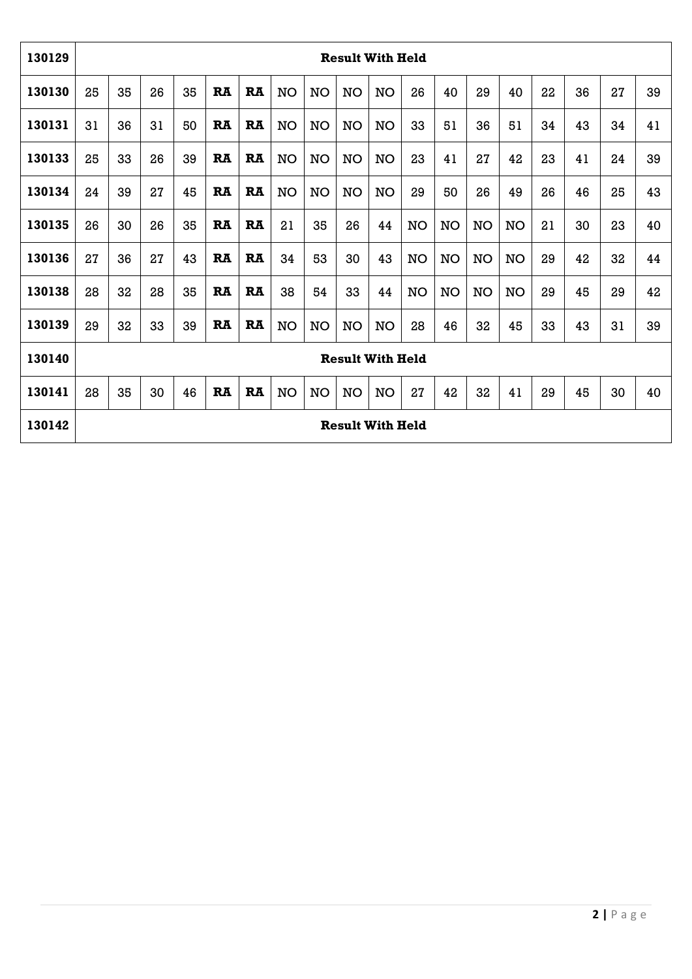| 130129 |    |    |    |    |           |           |           |           | <b>Result With Held</b> |           |           |           |           |           |    |    |    |    |
|--------|----|----|----|----|-----------|-----------|-----------|-----------|-------------------------|-----------|-----------|-----------|-----------|-----------|----|----|----|----|
| 130130 | 25 | 35 | 26 | 35 | <b>RA</b> | RA        | <b>NO</b> | <b>NO</b> | NO                      | <b>NO</b> | 26        | 40        | 29        | 40        | 22 | 36 | 27 | 39 |
| 130131 | 31 | 36 | 31 | 50 | <b>RA</b> | <b>RA</b> | <b>NO</b> | <b>NO</b> | NO                      | <b>NO</b> | 33        | 51        | 36        | 51        | 34 | 43 | 34 | 41 |
| 130133 | 25 | 33 | 26 | 39 | <b>RA</b> | RA        | NO        | <b>NO</b> | NO                      | <b>NO</b> | 23        | 41        | 27        | 42        | 23 | 41 | 24 | 39 |
| 130134 | 24 | 39 | 27 | 45 | <b>RA</b> | <b>RA</b> | <b>NO</b> | <b>NO</b> | NO                      | <b>NO</b> | 29        | 50        | 26        | 49        | 26 | 46 | 25 | 43 |
| 130135 | 26 | 30 | 26 | 35 | <b>RA</b> | <b>RA</b> | 21        | 35        | 26                      | 44        | <b>NO</b> | <b>NO</b> | <b>NO</b> | <b>NO</b> | 21 | 30 | 23 | 40 |
| 130136 | 27 | 36 | 27 | 43 | <b>RA</b> | <b>RA</b> | 34        | 53        | 30                      | 43        | NO        | <b>NO</b> | <b>NO</b> | NO        | 29 | 42 | 32 | 44 |
| 130138 | 28 | 32 | 28 | 35 | <b>RA</b> | <b>RA</b> | 38        | 54        | 33                      | 44        | NO        | <b>NO</b> | <b>NO</b> | <b>NO</b> | 29 | 45 | 29 | 42 |
| 130139 | 29 | 32 | 33 | 39 | RA        | <b>RA</b> | <b>NO</b> | <b>NO</b> | NO                      | <b>NO</b> | 28        | 46        | 32        | 45        | 33 | 43 | 31 | 39 |
| 130140 |    |    |    |    |           |           |           |           | <b>Result With Held</b> |           |           |           |           |           |    |    |    |    |
| 130141 | 28 | 35 | 30 | 46 | RA        | RA        | <b>NO</b> | <b>NO</b> | <b>NO</b>               | <b>NO</b> | 27        | 42        | 32        | 41        | 29 | 45 | 30 | 40 |
| 130142 |    |    |    |    |           |           |           |           | <b>Result With Held</b> |           |           |           |           |           |    |    |    |    |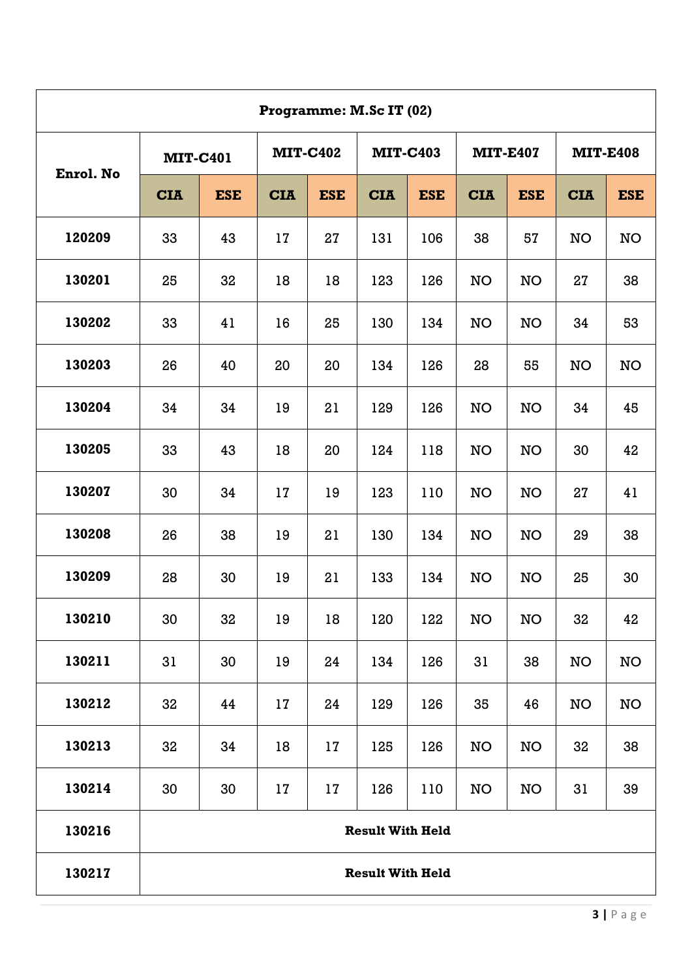|           |                 |            |            |                 | Programme: M.Sc IT (02) |            |            |                 |            |                 |
|-----------|-----------------|------------|------------|-----------------|-------------------------|------------|------------|-----------------|------------|-----------------|
|           | <b>MIT-C401</b> |            |            | <b>MIT-C402</b> | <b>MIT-C403</b>         |            |            | <b>MIT-E407</b> |            | <b>MIT-E408</b> |
| Enrol. No | <b>CIA</b>      | <b>ESE</b> | <b>CIA</b> | <b>ESE</b>      | <b>CIA</b>              | <b>ESE</b> | <b>CIA</b> | <b>ESE</b>      | <b>CIA</b> | <b>ESE</b>      |
| 120209    | 33              | 43         | 17         | 27              | 131                     | 106        | 38         | 57              | <b>NO</b>  | <b>NO</b>       |
| 130201    | 25              | 32         | 18         | 18              | 123                     | 126        | <b>NO</b>  | <b>NO</b>       | 27         | 38              |
| 130202    | 33              | 41         | 16         | 25              | 130                     | 134        | <b>NO</b>  | <b>NO</b>       | 34         | 53              |
| 130203    | 26              | 40         | 20         | 20              | 134                     | 126        | 28         | 55              | <b>NO</b>  | <b>NO</b>       |
| 130204    | 34              | 34         | 19         | 21              | 129                     | 126        | <b>NO</b>  | <b>NO</b>       | 34         | 45              |
| 130205    | 33              | 43         | 18         | 20              | 124                     | 118        | <b>NO</b>  | <b>NO</b>       | 30         | 42              |
| 130207    | 30              | 34         | 17         | 19              | 123                     | 110        | <b>NO</b>  | <b>NO</b>       | 27         | 41              |
| 130208    | 26              | 38         | 19         | 21              | 130                     | 134        | <b>NO</b>  | <b>NO</b>       | 29         | 38              |
| 130209    | 28              | 30         | 19         | 21              | 133                     | 134        | <b>NO</b>  | <b>NO</b>       | 25         | 30              |
| 130210    | 30              | 32         | 19         | 18              | 120                     | 122        | <b>NO</b>  | <b>NO</b>       | 32         | 42              |
| 130211    | 31              | 30         | 19         | 24              | 134                     | 126        | 31         | 38              | NO         | NO              |
| 130212    | 32              | 44         | 17         | 24              | 129                     | 126        | 35         | 46              | NO         | NO              |
| 130213    | 32              | 34         | 18         | 17              | 125                     | 126        | NO         | NO              | 32         | 38              |
| 130214    | 30              | 30         | 17         | 17              | 126                     | 110        | NO         | NO              | 31         | 39              |
| 130216    |                 |            |            |                 | <b>Result With Held</b> |            |            |                 |            |                 |
| 130217    |                 |            |            |                 | <b>Result With Held</b> |            |            |                 |            |                 |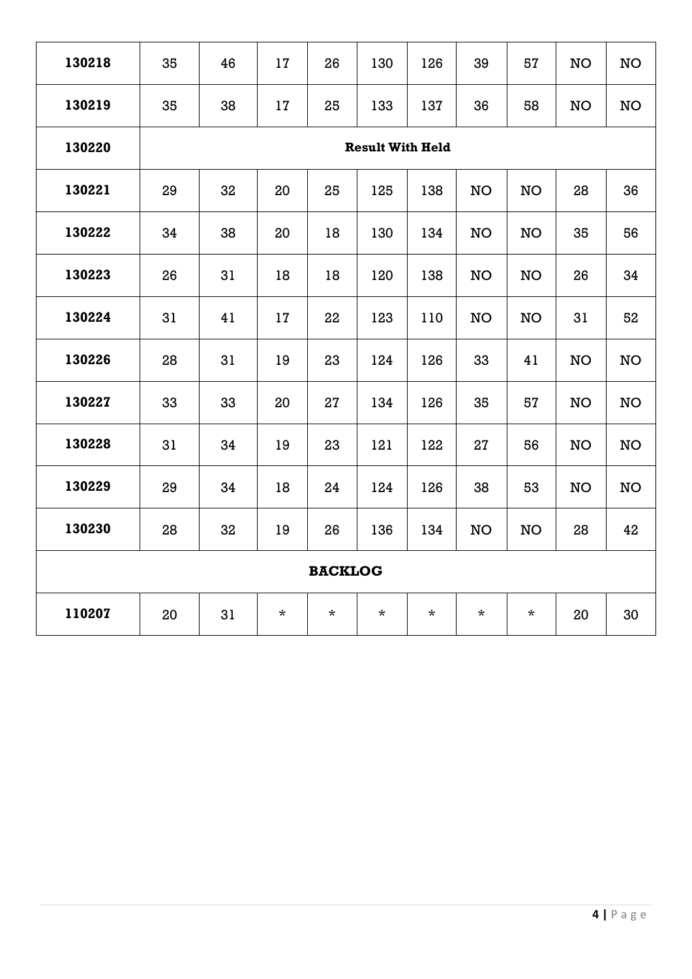| 130218 | 35 | 46 | 17      | 26             | 130                     | 126     | 39        | 57        | <b>NO</b> | <b>NO</b> |
|--------|----|----|---------|----------------|-------------------------|---------|-----------|-----------|-----------|-----------|
| 130219 | 35 | 38 | 17      | 25             | 133                     | 137     | 36        | 58        | <b>NO</b> | <b>NO</b> |
| 130220 |    |    |         |                | <b>Result With Held</b> |         |           |           |           |           |
| 130221 | 29 | 32 | 20      | 25             | 125                     | 138     | NO        | <b>NO</b> | 28        | 36        |
| 130222 | 34 | 38 | 20      | 18             | 130                     | 134     | <b>NO</b> | <b>NO</b> | 35        | 56        |
| 130223 | 26 | 31 | 18      | 18             | 120                     | 138     | NO        | <b>NO</b> | 26        | 34        |
| 130224 | 31 | 41 | 17      | 22             | 123                     | 110     | NO        | <b>NO</b> | 31        | 52        |
| 130226 | 28 | 31 | 19      | 23             | 124                     | 126     | 33        | 41        | <b>NO</b> | <b>NO</b> |
| 130227 | 33 | 33 | 20      | 27             | 134                     | 126     | 35        | 57        | <b>NO</b> | <b>NO</b> |
| 130228 | 31 | 34 | 19      | 23             | 121                     | 122     | 27        | 56        | <b>NO</b> | <b>NO</b> |
| 130229 | 29 | 34 | 18      | 24             | 124                     | 126     | 38        | 53        | <b>NO</b> | <b>NO</b> |
| 130230 | 28 | 32 | 19      | 26             | 136                     | 134     | NO        | <b>NO</b> | 28        | 42        |
|        |    |    |         | <b>BACKLOG</b> |                         |         |           |           |           |           |
| 110207 | 20 | 31 | $\star$ | $\star$        | $\star$                 | $\star$ | $\star$   | $\star$   | 20        | 30        |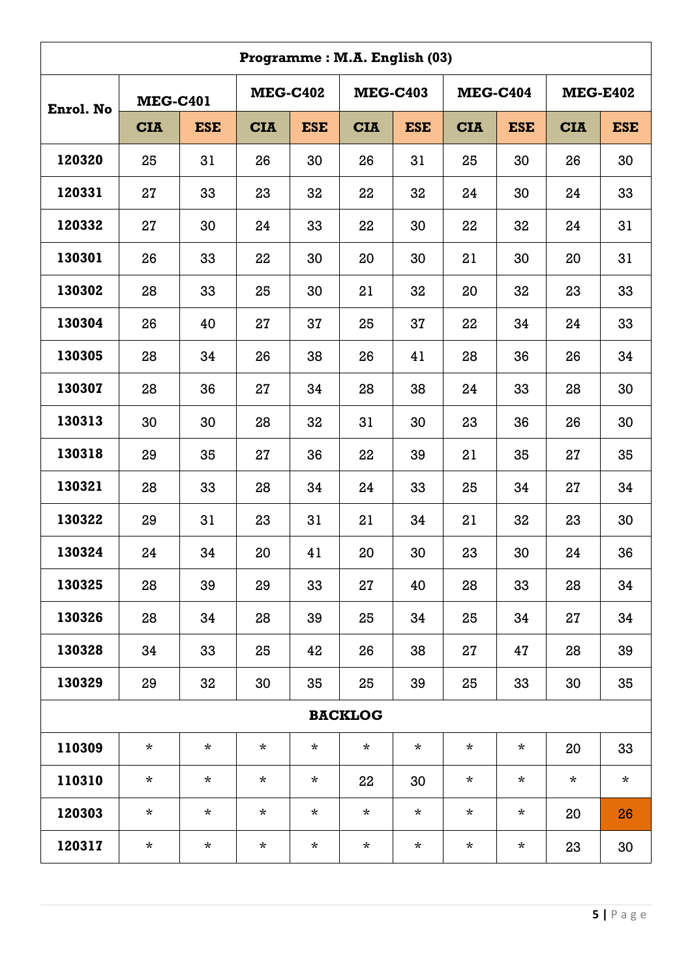|           |                 |            |                 |            | Programme: M.A. English (03) |            |                 |            |                 |            |
|-----------|-----------------|------------|-----------------|------------|------------------------------|------------|-----------------|------------|-----------------|------------|
| Enrol. No | <b>MEG-C401</b> |            | <b>MEG-C402</b> |            | <b>MEG-C403</b>              |            | <b>MEG-C404</b> |            | <b>MEG-E402</b> |            |
|           | <b>CIA</b>      | <b>ESE</b> | <b>CIA</b>      | <b>ESE</b> | <b>CIA</b>                   | <b>ESE</b> | <b>CIA</b>      | <b>ESE</b> | <b>CIA</b>      | <b>ESE</b> |
| 120320    | 25              | 31         | 26              | 30         | 26                           | 31         | 25              | 30         | 26              | 30         |
| 120331    | 27              | 33         | 23              | 32         | 22                           | 32         | 24              | 30         | 24              | 33         |
| 120332    | 27              | 30         | 24              | 33         | 22                           | 30         | 22              | 32         | 24              | 31         |
| 130301    | 26              | 33         | 22              | 30         | 20                           | 30         | 21              | 30         | 20              | 31         |
| 130302    | 28              | 33         | 25              | 30         | 21                           | 32         | 20              | 32         | 23              | 33         |
| 130304    | 26              | 40         | 27              | 37         | 25                           | 37         | 22              | 34         | 24              | 33         |
| 130305    | 28              | 34         | 26              | 38         | 26                           | 41         | 28              | 36         | 26              | 34         |
| 130307    | 28              | 36         | 27              | 34         | 28                           | 38         | 24              | 33         | 28              | 30         |
| 130313    | 30              | 30         | 28              | 32         | 31                           | 30         | 23              | 36         | 26              | 30         |
| 130318    | 29              | 35         | 27              | 36         | 22                           | 39         | 21              | 35         | 27              | 35         |
| 130321    | 28              | 33         | 28              | 34         | 24                           | 33         | 25              | 34         | 27              | 34         |
| 130322    | 29              | 31         | 23              | 31         | 21                           | 34         | 21              | 32         | 23              | 30         |
| 130324    | 24              | 34         | 20              | 41         | 20                           | 30         | 23              | 30         | 24              | 36         |
| 130325    | 28              | 39         | 29              | 33         | 27                           | 40         | 28              | 33         | 28              | 34         |
| 130326    | 28              | 34         | 28              | 39         | 25                           | 34         | 25              | 34         | 27              | 34         |
| 130328    | 34              | 33         | 25              | 42         | 26                           | 38         | 27              | 47         | 28              | 39         |
| 130329    | 29              | 32         | 30              | 35         | 25                           | 39         | 25              | 33         | 30              | 35         |
|           |                 |            |                 |            | <b>BACKLOG</b>               |            |                 |            |                 |            |
| 110309    | $\star$         | $^\star$   | $\star$         | $\star$    | $^\star$                     | $\star$    | $^\star$        | $^\star$   | 20              | 33         |
| 110310    | $^\star$        | $^\star$   | $\star$         | $^\star$   | 22                           | 30         | $^\star$        | $^\star$   | $\star$         | $\star$    |
| 120303    | $^\star$        | $^\star$   | $\star$         | $\star$    | $^\star$                     | $^\star$   | $^\star$        | $^\star$   | 20              | 26         |
| 120317    | $\star$         | $^\star$   | $^\star$        | $^\star$   | $\ast$                       | $\star$    | $^\star$        | $^\star$   | 23              | 30         |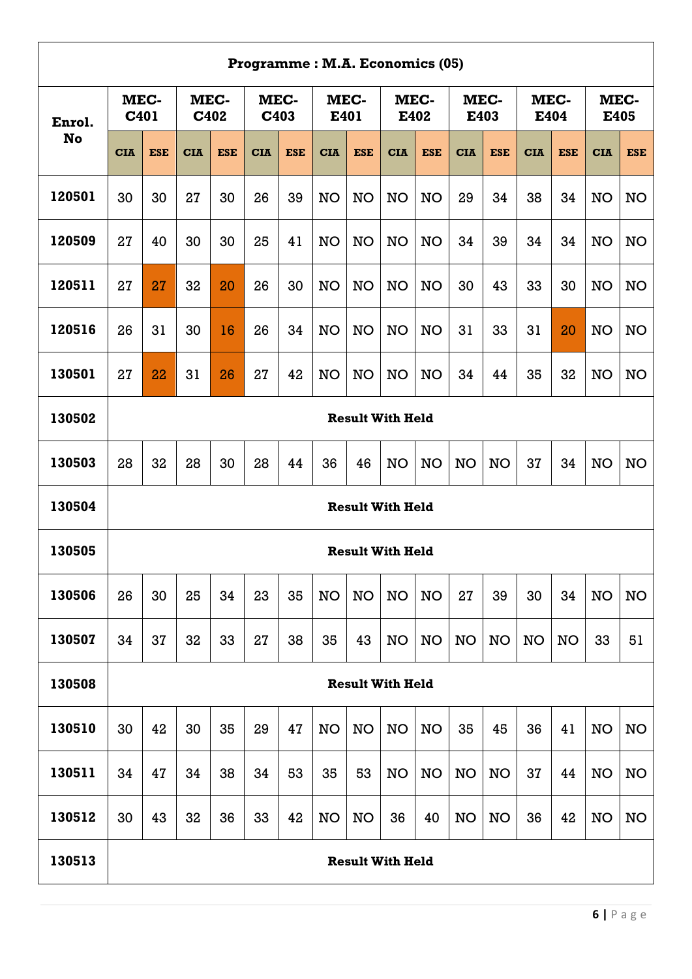|        | Programme: M.A. Economics (05)<br>MEC-<br>MEC-<br>MEC-<br>MEC-<br>MEC-<br>MEC-<br>MEC-<br>MEC-<br>C401<br>C402<br>C403<br>E401<br>E402<br>E403<br>E404<br>E405<br><b>No</b><br><b>CIA</b><br><b>ESE</b><br><b>ESE</b><br><b>CIA</b><br><b>ESE</b><br><b>ESE</b><br><b>CIA</b><br><b>CIA</b><br><b>ESE</b><br><b>CIA</b><br><b>ESE</b><br><b>CIA</b><br><b>CIA</b><br><b>ESE</b><br><b>CIA</b><br><b>ESE</b><br>30<br>30<br>27<br>30<br>26<br>39<br><b>NO</b><br><b>NO</b><br>NO<br>29<br>34<br>38<br>34<br><b>NO</b><br><b>NO</b><br><b>NO</b><br>34<br>27<br>40<br>30<br>30<br>25<br>41<br><b>NO</b><br>NO<br><b>NO</b><br>NO<br>34<br>39<br>34<br>NO<br><b>NO</b><br>43<br>33<br>30<br>27<br>27<br>32<br>20<br>26<br>30<br><b>NO</b><br><b>NO</b><br><b>NO</b><br><b>NO</b><br>30<br><b>NO</b><br><b>NO</b><br>31<br>30<br>26<br>16<br>26<br>34<br><b>NO</b><br><b>NO</b><br><b>NO</b><br>31<br>33<br>31<br>20<br><b>NO</b><br><b>NO</b><br><b>NO</b><br>27<br>32<br>27<br>22<br>31<br>26<br>42<br><b>NO</b><br><b>NO</b><br><b>NO</b><br>34<br>35<br><b>NO</b><br><b>NO</b><br><b>NO</b><br>44<br><b>Result With Held</b> |    |    |    |    |    |           |           |                         |           |           |           |           |           |           |           |
|--------|------------------------------------------------------------------------------------------------------------------------------------------------------------------------------------------------------------------------------------------------------------------------------------------------------------------------------------------------------------------------------------------------------------------------------------------------------------------------------------------------------------------------------------------------------------------------------------------------------------------------------------------------------------------------------------------------------------------------------------------------------------------------------------------------------------------------------------------------------------------------------------------------------------------------------------------------------------------------------------------------------------------------------------------------------------------------------------------------------------------------------|----|----|----|----|----|-----------|-----------|-------------------------|-----------|-----------|-----------|-----------|-----------|-----------|-----------|
| Enrol. |                                                                                                                                                                                                                                                                                                                                                                                                                                                                                                                                                                                                                                                                                                                                                                                                                                                                                                                                                                                                                                                                                                                              |    |    |    |    |    |           |           |                         |           |           |           |           |           |           |           |
|        |                                                                                                                                                                                                                                                                                                                                                                                                                                                                                                                                                                                                                                                                                                                                                                                                                                                                                                                                                                                                                                                                                                                              |    |    |    |    |    |           |           |                         |           |           |           |           |           |           |           |
| 120501 |                                                                                                                                                                                                                                                                                                                                                                                                                                                                                                                                                                                                                                                                                                                                                                                                                                                                                                                                                                                                                                                                                                                              |    |    |    |    |    |           |           |                         |           |           |           |           |           |           |           |
| 120509 |                                                                                                                                                                                                                                                                                                                                                                                                                                                                                                                                                                                                                                                                                                                                                                                                                                                                                                                                                                                                                                                                                                                              |    |    |    |    |    |           |           |                         |           |           |           |           |           |           |           |
| 120511 |                                                                                                                                                                                                                                                                                                                                                                                                                                                                                                                                                                                                                                                                                                                                                                                                                                                                                                                                                                                                                                                                                                                              |    |    |    |    |    |           |           |                         |           |           |           |           |           |           |           |
| 120516 |                                                                                                                                                                                                                                                                                                                                                                                                                                                                                                                                                                                                                                                                                                                                                                                                                                                                                                                                                                                                                                                                                                                              |    |    |    |    |    |           |           |                         |           |           |           |           |           |           |           |
| 130501 |                                                                                                                                                                                                                                                                                                                                                                                                                                                                                                                                                                                                                                                                                                                                                                                                                                                                                                                                                                                                                                                                                                                              |    |    |    |    |    |           |           |                         |           |           |           |           |           |           |           |
| 130502 |                                                                                                                                                                                                                                                                                                                                                                                                                                                                                                                                                                                                                                                                                                                                                                                                                                                                                                                                                                                                                                                                                                                              |    |    |    |    |    |           |           |                         |           |           |           |           |           |           |           |
| 130503 | 28                                                                                                                                                                                                                                                                                                                                                                                                                                                                                                                                                                                                                                                                                                                                                                                                                                                                                                                                                                                                                                                                                                                           | 32 | 28 | 30 | 28 | 44 | 36        | 46        | <b>NO</b>               | <b>NO</b> | <b>NO</b> | <b>NO</b> | 37        | 34        | <b>NO</b> | NO        |
| 130504 |                                                                                                                                                                                                                                                                                                                                                                                                                                                                                                                                                                                                                                                                                                                                                                                                                                                                                                                                                                                                                                                                                                                              |    |    |    |    |    |           |           | <b>Result With Held</b> |           |           |           |           |           |           |           |
| 130505 |                                                                                                                                                                                                                                                                                                                                                                                                                                                                                                                                                                                                                                                                                                                                                                                                                                                                                                                                                                                                                                                                                                                              |    |    |    |    |    |           |           | <b>Result With Held</b> |           |           |           |           |           |           |           |
| 130506 | 26                                                                                                                                                                                                                                                                                                                                                                                                                                                                                                                                                                                                                                                                                                                                                                                                                                                                                                                                                                                                                                                                                                                           | 30 | 25 | 34 | 23 | 35 | <b>NO</b> | <b>NO</b> | <b>NO</b>               | <b>NO</b> | 27        | 39        | 30        | 34        | <b>NO</b> | NO        |
| 130507 | 34                                                                                                                                                                                                                                                                                                                                                                                                                                                                                                                                                                                                                                                                                                                                                                                                                                                                                                                                                                                                                                                                                                                           | 37 | 32 | 33 | 27 | 38 | 35        | 43        | <b>NO</b>               | <b>NO</b> | <b>NO</b> | <b>NO</b> | <b>NO</b> | <b>NO</b> | 33        | 51        |
| 130508 |                                                                                                                                                                                                                                                                                                                                                                                                                                                                                                                                                                                                                                                                                                                                                                                                                                                                                                                                                                                                                                                                                                                              |    |    |    |    |    |           |           | <b>Result With Held</b> |           |           |           |           |           |           |           |
| 130510 | 30                                                                                                                                                                                                                                                                                                                                                                                                                                                                                                                                                                                                                                                                                                                                                                                                                                                                                                                                                                                                                                                                                                                           | 42 | 30 | 35 | 29 | 47 | <b>NO</b> | <b>NO</b> | <b>NO</b>               | <b>NO</b> | 35        | 45        | 36        | 41        | <b>NO</b> | <b>NO</b> |
| 130511 | 34                                                                                                                                                                                                                                                                                                                                                                                                                                                                                                                                                                                                                                                                                                                                                                                                                                                                                                                                                                                                                                                                                                                           | 47 | 34 | 38 | 34 | 53 | 35        | 53        | <b>NO</b>               | <b>NO</b> | <b>NO</b> | <b>NO</b> | 37        | 44        | <b>NO</b> | <b>NO</b> |
| 130512 | 30                                                                                                                                                                                                                                                                                                                                                                                                                                                                                                                                                                                                                                                                                                                                                                                                                                                                                                                                                                                                                                                                                                                           | 43 | 32 | 36 | 33 | 42 | <b>NO</b> | <b>NO</b> | 36                      | 40        | <b>NO</b> | <b>NO</b> | 36        | 42        | <b>NO</b> | <b>NO</b> |
| 130513 |                                                                                                                                                                                                                                                                                                                                                                                                                                                                                                                                                                                                                                                                                                                                                                                                                                                                                                                                                                                                                                                                                                                              |    |    |    |    |    |           |           | <b>Result With Held</b> |           |           |           |           |           |           |           |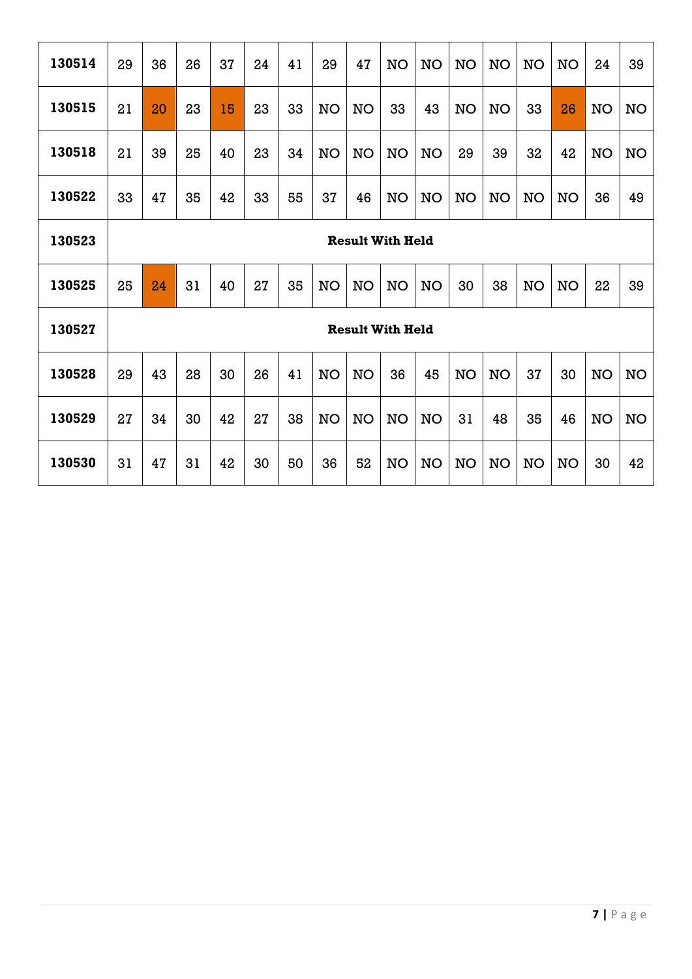| 130514 | 29 | 36                      | 26 | 37 | 24 | 41 | 29        | 47        | <b>NO</b>               | <b>NO</b> | <b>NO</b> | <b>NO</b> | <b>NO</b> | <b>NO</b> | 24        | 39        |
|--------|----|-------------------------|----|----|----|----|-----------|-----------|-------------------------|-----------|-----------|-----------|-----------|-----------|-----------|-----------|
| 130515 | 21 | 20                      | 23 | 15 | 23 | 33 | <b>NO</b> | <b>NO</b> | 33                      | 43        | NO        | <b>NO</b> | 33        | 26        | <b>NO</b> | <b>NO</b> |
| 130518 | 21 | 39                      | 25 | 40 | 23 | 34 | NO        | <b>NO</b> | NO                      | <b>NO</b> | 29        | 39        | 32        | 42        | <b>NO</b> | <b>NO</b> |
| 130522 | 33 | 47                      | 35 | 42 | 33 | 55 | 37        | 46        | <b>NO</b>               | <b>NO</b> | <b>NO</b> | <b>NO</b> | NO        | <b>NO</b> | 36        | 49        |
| 130523 |    | <b>Result With Held</b> |    |    |    |    |           |           |                         |           |           |           |           |           |           |           |
| 130525 | 25 | 24                      | 31 | 40 | 27 | 35 | <b>NO</b> | <b>NO</b> | <b>NO</b>               | <b>NO</b> | 30        | 38        | NO        | <b>NO</b> | 22        | 39        |
| 130527 |    |                         |    |    |    |    |           |           | <b>Result With Held</b> |           |           |           |           |           |           |           |
| 130528 | 29 | 43                      | 28 | 30 | 26 | 41 | <b>NO</b> | <b>NO</b> | 36                      | 45        | <b>NO</b> | NO        | 37        | 30        | <b>NO</b> | <b>NO</b> |
| 130529 | 27 | 34                      | 30 | 42 | 27 | 38 | <b>NO</b> | <b>NO</b> | <b>NO</b>               | <b>NO</b> | 31        | 48        | 35        | 46        | <b>NO</b> | <b>NO</b> |
| 130530 | 31 | 47                      | 31 | 42 | 30 | 50 | 36        | 52        | NO                      | <b>NO</b> | <b>NO</b> | <b>NO</b> | <b>NO</b> | <b>NO</b> | 30        | 42        |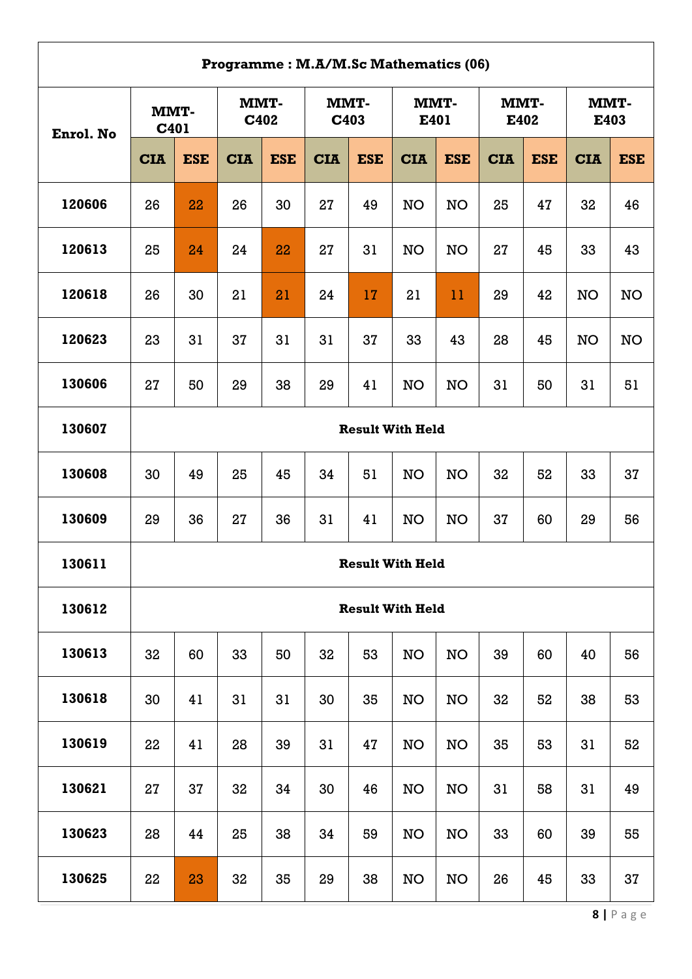|        | Programme: M.A/M.Sc Mathematics (06)<br>MMT-<br>MMT-<br>MMT-<br>MMT-<br>MMT-<br><b>MMT-</b><br>C402<br>C403<br>E401<br>E402<br>E403<br>C401<br>Enrol. No<br><b>ESE</b><br><b>ESE</b><br><b>ESE</b><br><b>CIA</b><br><b>ESE</b><br><b>CIA</b><br><b>CIA</b><br><b>ESE</b><br><b>CIA</b><br><b>ESE</b><br><b>CIA</b><br><b>CIA</b><br>120606<br>26<br>22<br>26<br>30<br>27<br><b>NO</b><br><b>NO</b><br>25<br>47<br>32<br>46<br>49<br>120613<br><b>NO</b><br>43<br>24<br>27<br>31<br><b>NO</b><br>27<br>33<br>25<br>24<br>22<br>45<br>120618<br><b>NO</b><br>26<br>30<br>21<br>21<br>24<br>17<br>21<br>11<br>29<br>42<br><b>NO</b><br>120623<br>37<br>23<br>31<br>37<br>31<br>31<br>33<br>43<br>28<br>45<br><b>NO</b><br><b>NO</b><br>130606<br>29<br><b>NO</b><br>51<br>27<br>50<br>29<br>38<br>41<br><b>NO</b><br>31<br>50<br>31<br>130607<br><b>Result With Held</b><br>130608<br>30<br>25<br>34<br>51<br><b>NO</b><br><b>NO</b><br>32<br>52<br>33<br>37<br>49<br>45<br>130609<br>27<br>31<br>29<br>36<br>36<br>41<br><b>NO</b><br><b>NO</b><br>37<br>60<br>29<br>56 |    |    |    |    |    |                         |           |    |    |    |    |  |  |  |
|--------|-----------------------------------------------------------------------------------------------------------------------------------------------------------------------------------------------------------------------------------------------------------------------------------------------------------------------------------------------------------------------------------------------------------------------------------------------------------------------------------------------------------------------------------------------------------------------------------------------------------------------------------------------------------------------------------------------------------------------------------------------------------------------------------------------------------------------------------------------------------------------------------------------------------------------------------------------------------------------------------------------------------------------------------------------------------------------|----|----|----|----|----|-------------------------|-----------|----|----|----|----|--|--|--|
|        |                                                                                                                                                                                                                                                                                                                                                                                                                                                                                                                                                                                                                                                                                                                                                                                                                                                                                                                                                                                                                                                                       |    |    |    |    |    |                         |           |    |    |    |    |  |  |  |
|        |                                                                                                                                                                                                                                                                                                                                                                                                                                                                                                                                                                                                                                                                                                                                                                                                                                                                                                                                                                                                                                                                       |    |    |    |    |    |                         |           |    |    |    |    |  |  |  |
|        |                                                                                                                                                                                                                                                                                                                                                                                                                                                                                                                                                                                                                                                                                                                                                                                                                                                                                                                                                                                                                                                                       |    |    |    |    |    |                         |           |    |    |    |    |  |  |  |
|        |                                                                                                                                                                                                                                                                                                                                                                                                                                                                                                                                                                                                                                                                                                                                                                                                                                                                                                                                                                                                                                                                       |    |    |    |    |    |                         |           |    |    |    |    |  |  |  |
|        |                                                                                                                                                                                                                                                                                                                                                                                                                                                                                                                                                                                                                                                                                                                                                                                                                                                                                                                                                                                                                                                                       |    |    |    |    |    |                         |           |    |    |    |    |  |  |  |
|        |                                                                                                                                                                                                                                                                                                                                                                                                                                                                                                                                                                                                                                                                                                                                                                                                                                                                                                                                                                                                                                                                       |    |    |    |    |    |                         |           |    |    |    |    |  |  |  |
|        |                                                                                                                                                                                                                                                                                                                                                                                                                                                                                                                                                                                                                                                                                                                                                                                                                                                                                                                                                                                                                                                                       |    |    |    |    |    |                         |           |    |    |    |    |  |  |  |
|        |                                                                                                                                                                                                                                                                                                                                                                                                                                                                                                                                                                                                                                                                                                                                                                                                                                                                                                                                                                                                                                                                       |    |    |    |    |    |                         |           |    |    |    |    |  |  |  |
|        |                                                                                                                                                                                                                                                                                                                                                                                                                                                                                                                                                                                                                                                                                                                                                                                                                                                                                                                                                                                                                                                                       |    |    |    |    |    |                         |           |    |    |    |    |  |  |  |
|        |                                                                                                                                                                                                                                                                                                                                                                                                                                                                                                                                                                                                                                                                                                                                                                                                                                                                                                                                                                                                                                                                       |    |    |    |    |    |                         |           |    |    |    |    |  |  |  |
| 130611 |                                                                                                                                                                                                                                                                                                                                                                                                                                                                                                                                                                                                                                                                                                                                                                                                                                                                                                                                                                                                                                                                       |    |    |    |    |    | <b>Result With Held</b> |           |    |    |    |    |  |  |  |
| 130612 |                                                                                                                                                                                                                                                                                                                                                                                                                                                                                                                                                                                                                                                                                                                                                                                                                                                                                                                                                                                                                                                                       |    |    |    |    |    | <b>Result With Held</b> |           |    |    |    |    |  |  |  |
| 130613 | 32                                                                                                                                                                                                                                                                                                                                                                                                                                                                                                                                                                                                                                                                                                                                                                                                                                                                                                                                                                                                                                                                    | 60 | 33 | 50 | 32 | 53 | <b>NO</b>               | <b>NO</b> | 39 | 60 | 40 | 56 |  |  |  |
| 130618 | 30                                                                                                                                                                                                                                                                                                                                                                                                                                                                                                                                                                                                                                                                                                                                                                                                                                                                                                                                                                                                                                                                    | 41 | 31 | 31 | 30 | 35 | <b>NO</b>               | <b>NO</b> | 32 | 52 | 38 | 53 |  |  |  |
| 130619 | 22                                                                                                                                                                                                                                                                                                                                                                                                                                                                                                                                                                                                                                                                                                                                                                                                                                                                                                                                                                                                                                                                    | 41 | 28 | 39 | 31 | 47 | <b>NO</b>               | <b>NO</b> | 35 | 53 | 31 | 52 |  |  |  |
| 130621 | 27                                                                                                                                                                                                                                                                                                                                                                                                                                                                                                                                                                                                                                                                                                                                                                                                                                                                                                                                                                                                                                                                    | 37 | 32 | 34 | 30 | 46 | <b>NO</b>               | <b>NO</b> | 31 | 58 | 31 | 49 |  |  |  |
| 130623 | 28                                                                                                                                                                                                                                                                                                                                                                                                                                                                                                                                                                                                                                                                                                                                                                                                                                                                                                                                                                                                                                                                    | 44 | 25 | 38 | 34 | 59 | <b>NO</b>               | NO        | 33 | 60 | 39 | 55 |  |  |  |
| 130625 | 22                                                                                                                                                                                                                                                                                                                                                                                                                                                                                                                                                                                                                                                                                                                                                                                                                                                                                                                                                                                                                                                                    | 23 | 32 | 35 | 29 | 38 | NO                      | <b>NO</b> | 26 | 45 | 33 | 37 |  |  |  |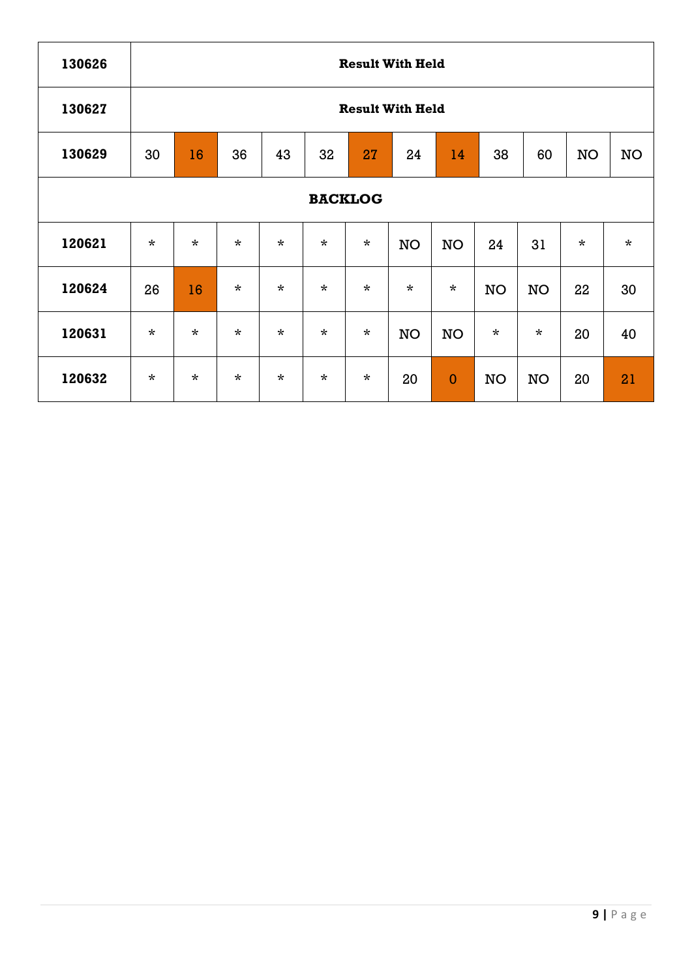| 130626 |         |         |         |         |         |                | <b>Result With Held</b> |              |           |           |           |           |
|--------|---------|---------|---------|---------|---------|----------------|-------------------------|--------------|-----------|-----------|-----------|-----------|
| 130627 |         |         |         |         |         |                | <b>Result With Held</b> |              |           |           |           |           |
| 130629 | 30      | 16      | 36      | 43      | 32      | 27             | 24                      | 14           | 38        | 60        | <b>NO</b> | <b>NO</b> |
|        |         |         |         |         |         | <b>BACKLOG</b> |                         |              |           |           |           |           |
| 120621 | $\star$ | $\star$ | $\star$ | $\star$ | $\star$ | $\star$        | <b>NO</b>               | <b>NO</b>    | 24        | 31        | $\star$   | $\star$   |
| 120624 | 26      | 16      | $\star$ | $\star$ | $\star$ | $\star$        | $\star$                 | $\star$      | <b>NO</b> | <b>NO</b> | 22        | 30        |
| 120631 | $\star$ | $\star$ | $\star$ | $\star$ | $\star$ | $\star$        | <b>NO</b>               | <b>NO</b>    | $\star$   | $\star$   | 20        | 40        |
| 120632 | $\star$ | $\star$ | $\star$ | $\star$ | $\star$ | $\star$        | 20                      | $\mathbf{0}$ | <b>NO</b> | <b>NO</b> | 20        | 21        |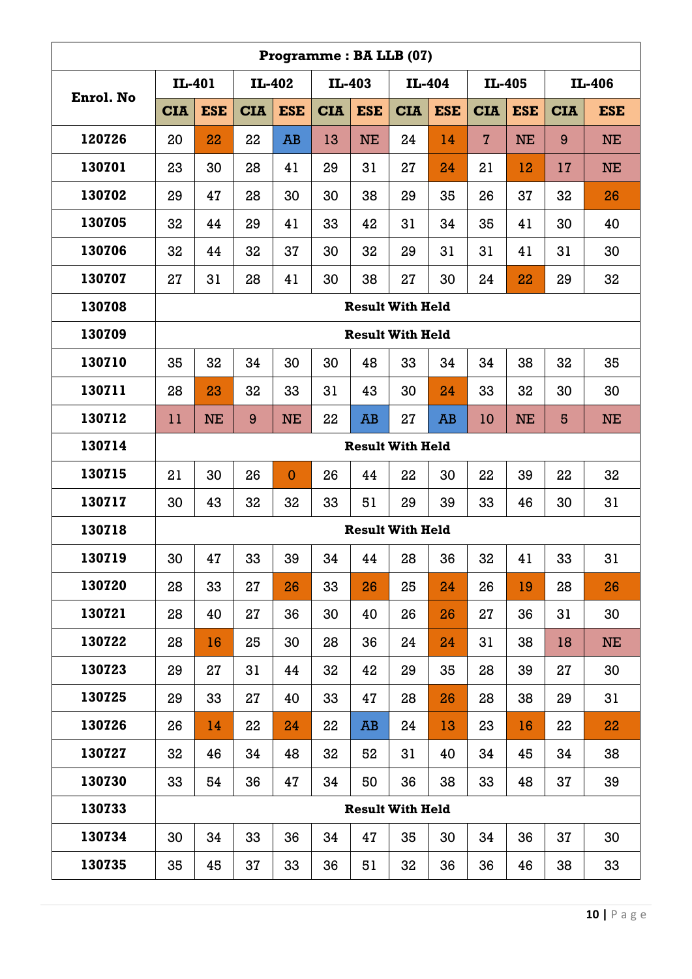|           |            |            |            |              | Programme: BA LLB (07) |            |                         |            |                |            |            |            |
|-----------|------------|------------|------------|--------------|------------------------|------------|-------------------------|------------|----------------|------------|------------|------------|
| Enrol. No | IL-401     |            |            | IL-402       | IL-403                 |            | IL-404                  |            | IL-405         |            |            | IL-406     |
|           | <b>CIA</b> | <b>ESE</b> | <b>CIA</b> | <b>ESE</b>   | <b>CIA</b>             | <b>ESE</b> | <b>CIA</b>              | <b>ESE</b> | <b>CIA</b>     | <b>ESE</b> | <b>CIA</b> | <b>ESE</b> |
| 120726    | 20         | 22         | 22         | <b>AB</b>    | 13                     | <b>NE</b>  | 24                      | 14         | $\overline{7}$ | <b>NE</b>  | 9          | <b>NE</b>  |
| 130701    | 23         | 30         | 28         | 41           | 29                     | 31         | 27                      | 24         | 21             | 12         | 17         | <b>NE</b>  |
| 130702    | 29         | 47         | 28         | 30           | 30                     | 38         | 29                      | 35         | 26             | 37         | 32         | 26         |
| 130705    | 32         | 44         | 29         | 41           | 33                     | 42         | 31                      | 34         | 35             | 41         | 30         | 40         |
| 130706    | 32         | 44         | 32         | 37           | 30                     | 32         | 29                      | 31         | 31             | 41         | 31         | 30         |
| 130707    | 27         | 31         | 28         | 41           | 30                     | 38         | 27                      | 30         | 24             | 22         | 29         | 32         |
| 130708    |            |            |            |              |                        |            | <b>Result With Held</b> |            |                |            |            |            |
| 130709    |            |            |            |              |                        |            | <b>Result With Held</b> |            |                |            |            |            |
| 130710    | 35         | 32         | 34         | 30           | 30                     | 48         | 33                      | 34         | 34             | 38         | 32         | 35         |
| 130711    | 28         | 23         | 32         | 33           | 31                     | 43         | 30                      | 24         | 33             | 32         | 30         | 30         |
| 130712    | 11         | <b>NE</b>  | 9          | <b>NE</b>    | 22                     | <b>AB</b>  | 27                      | <b>AB</b>  | 10             | <b>NE</b>  | 5          | <b>NE</b>  |
| 130714    |            |            |            |              |                        |            | <b>Result With Held</b> |            |                |            |            |            |
| 130715    | 21         | 30         | 26         | $\mathbf{0}$ | 26                     | 44         | 22                      | 30         | 22             | 39         | 22         | 32         |
| 130717    | 30         | 43         | 32         | 32           | 33                     | 51         | 29                      | 39         | 33             | 46         | 30         | 31         |
| 130718    |            |            |            |              |                        |            | <b>Result With Held</b> |            |                |            |            |            |
| 130719    | 30         | 47         | 33         | 39           | 34                     | 44         | 28                      | 36         | 32             | 41         | 33         | 31         |
| 130720    | 28         | 33         | 27         | 26           | 33                     | 26         | 25                      | 24         | 26             | 19         | 28         | 26         |
| 130721    | 28         | 40         | 27         | 36           | 30                     | 40         | 26                      | 26         | 27             | 36         | 31         | 30         |
| 130722    | 28         | 16         | 25         | 30           | 28                     | 36         | 24                      | 24         | 31             | 38         | 18         | <b>NE</b>  |
| 130723    | 29         | 27         | 31         | 44           | 32                     | 42         | 29                      | 35         | 28             | 39         | 27         | 30         |
| 130725    | 29         | 33         | 27         | 40           | 33                     | 47         | 28                      | 26         | 28             | 38         | 29         | 31         |
| 130726    | 26         | 14         | 22         | 24           | 22                     | AB         | 24                      | 13         | 23             | 16         | 22         | 22         |
| 130727    | 32         | 46         | 34         | 48           | 32                     | 52         | 31                      | 40         | 34             | 45         | 34         | 38         |
| 130730    | 33         | 54         | 36         | 47           | 34                     | 50         | 36                      | 38         | 33             | 48         | 37         | 39         |
| 130733    |            |            |            |              |                        |            | <b>Result With Held</b> |            |                |            |            |            |
| 130734    | 30         | 34         | 33         | 36           | 34                     | 47         | 35                      | 30         | 34             | 36         | 37         | 30         |
| 130735    | 35         | 45         | 37         | 33           | 36                     | 51         | 32                      | 36         | 36             | 46         | 38         | 33         |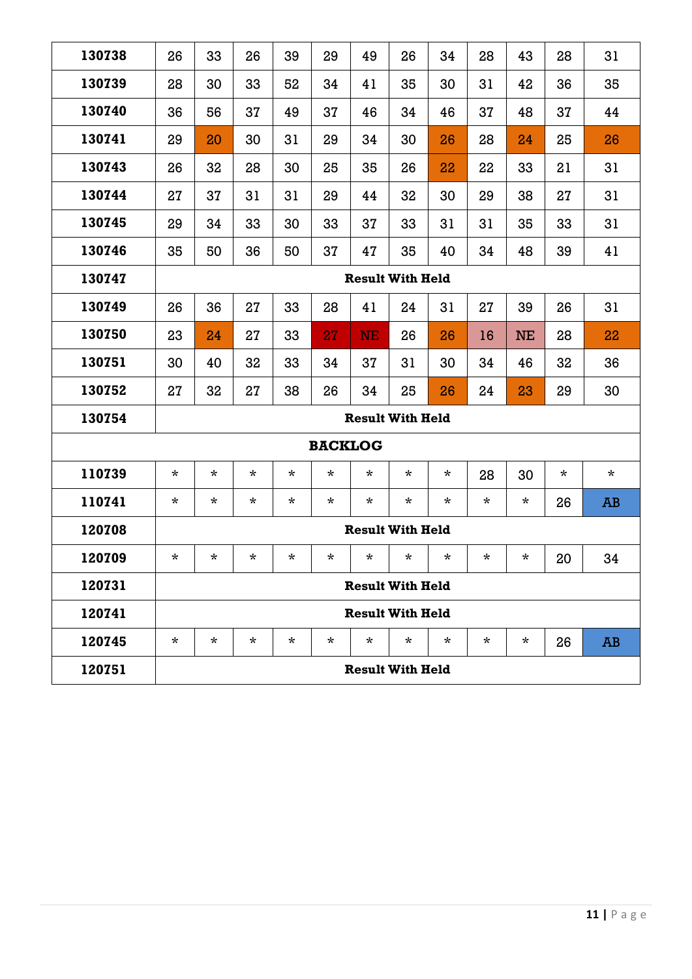| 130738 | 26      | 33       | 26       | 39      | 29             | 49        | 26                      | 34       | 28       | 43        | 28       | 31      |
|--------|---------|----------|----------|---------|----------------|-----------|-------------------------|----------|----------|-----------|----------|---------|
| 130739 | 28      | 30       | 33       | 52      | 34             | 41        | 35                      | 30       | 31       | 42        | 36       | 35      |
| 130740 | 36      | 56       | 37       | 49      | 37             | 46        | 34                      | 46       | 37       | 48        | 37       | 44      |
| 130741 | 29      | 20       | 30       | 31      | 29             | 34        | 30                      | 26       | 28       | 24        | 25       | 26      |
| 130743 | 26      | 32       | 28       | 30      | 25             | 35        | 26                      | 22       | 22       | 33        | 21       | 31      |
| 130744 | 27      | 37       | 31       | 31      | 29             | 44        | 32                      | 30       | 29       | 38        | 27       | 31      |
| 130745 | 29      | 34       | 33       | 30      | 33             | 37        | 33                      | 31       | 31       | 35        | 33       | 31      |
| 130746 | 35      | 50       | 36       | 50      | 37             | 47        | 35                      | 40       | 34       | 48        | 39       | 41      |
| 130747 |         |          |          |         |                |           | <b>Result With Held</b> |          |          |           |          |         |
| 130749 | 26      | 36       | 27       | 33      | 28             | 41        | 24                      | 31       | 27       | 39        | 26       | 31      |
| 130750 | 23      | 24       | 27       | 33      | 27             | <b>NE</b> | 26                      | 26       | 16       | <b>NE</b> | 28       | 22      |
| 130751 | 30      | 40       | 32       | 33      | 34             | 37        | 31                      | 30       | 34       | 46        | 32       | 36      |
| 130752 | 27      | 32       | 27       | 38      | 26             | 34        | 25                      | 26       | 24       | 23        | 29       | 30      |
| 130754 |         |          |          |         |                |           | <b>Result With Held</b> |          |          |           |          |         |
|        |         |          |          |         | <b>BACKLOG</b> |           |                         |          |          |           |          |         |
| 110739 | $\star$ | $^\star$ | $\star$  | $\star$ | $\star$        | $\star$   | $\star$                 | $^\star$ | 28       | 30        | $^\star$ | $\star$ |
| 110741 | $\star$ | $^\star$ | $^\star$ | $\star$ | $^\star$       | $^\star$  | $^\star$                | $^\star$ | $^\star$ | $\star$   | 26       | AB      |
| 120708 |         |          |          |         |                |           | <b>Result With Held</b> |          |          |           |          |         |
| 120709 | $\star$ | $\star$  | $^\star$ | $\star$ | $^\star$       | $\star$   | $\star$                 | $\star$  | $\star$  | $^\star$  | 20       | 34      |
| 120731 |         |          |          |         |                |           | <b>Result With Held</b> |          |          |           |          |         |
| 120741 |         |          |          |         |                |           | <b>Result With Held</b> |          |          |           |          |         |
| 120745 | $\star$ | $^\star$ | $\star$  | $\star$ | $\star$        | $\star$   | $\star$                 | $\ast$   | $\star$  | $\star$   | 26       | AB      |
| 120751 |         |          |          |         |                |           | <b>Result With Held</b> |          |          |           |          |         |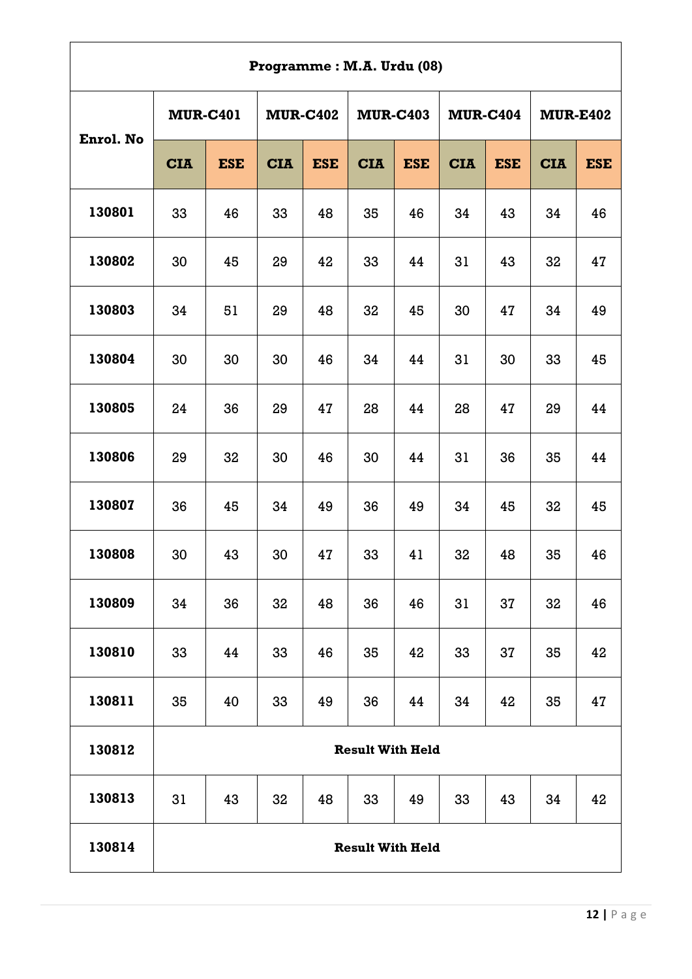|           |                 |                | Programme: M.A. Urdu (08) |                 |                         |            |            |                 |            |                 |
|-----------|-----------------|----------------|---------------------------|-----------------|-------------------------|------------|------------|-----------------|------------|-----------------|
|           | <b>MUR-C401</b> |                |                           | <b>MUR-C402</b> | <b>MUR-C403</b>         |            |            | <b>MUR-C404</b> |            | <b>MUR-E402</b> |
| Enrol. No | <b>CIA</b>      | <b>ESE</b>     | <b>CIA</b>                | <b>ESE</b>      | <b>CIA</b>              | <b>ESE</b> | <b>CIA</b> | <b>ESE</b>      | <b>CIA</b> | <b>ESE</b>      |
| 130801    | 33              | 46             | 33                        | 48              | 35                      | 46         | 34         | 43              | 34         | 46              |
| 130802    | 30              | 45             | 29                        | 42              | 33                      | 44         | 31         | 43              | 32         | 47              |
| 130803    | 34              | 51<br>30<br>30 |                           | 48              | 32                      | 45         | 30         | 47              | 34         | 49              |
| 130804    | 24<br>36        |                | 30                        | 46              | 34                      | 44         | 31         | 30              | 33         | 45              |
| 130805    |                 |                | 29                        | 47              | 28                      | 44         | 28         | 47              | 29         | 44              |
| 130806    | 29              | 32             | 30                        | 46              | 30                      | 44         | 31         | 36              | 35         | 44              |
| 130807    | 36              | 45             | 34                        | 49              | 36                      | 49         | 34         | 45              | 32         | 45              |
| 130808    | 30              | 43             | 30                        | 47              | 33                      | 41         | 32         | 48              | 35         | 46              |
| 130809    | 34              | 36             | 32                        | 48              | 36                      | 46         | 31         | 37              | 32         | 46              |
| 130810    | 33              | 44             | 33                        | 46              | 35                      | 42         | 33         | 37              | 35         | 42              |
| 130811    | 35              | 40             | 33                        | 49              | 36                      | 44         | 34         | 42              | 35         | 47              |
| 130812    |                 |                |                           |                 | <b>Result With Held</b> |            |            |                 |            |                 |
| 130813    | 31              | 43             | 32                        | 48              | 33                      | 49         | 33         | 43              | 34         | 42              |
| 130814    |                 |                |                           |                 | <b>Result With Held</b> |            |            |                 |            |                 |

r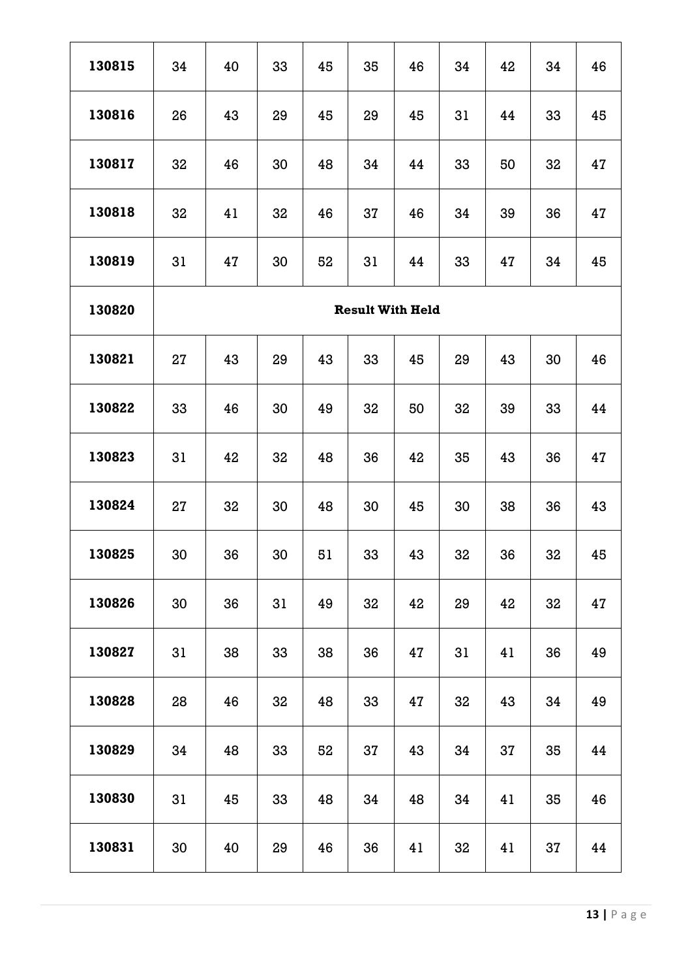| 130815 | 34                      | 40 | 33 | 45 | 35 | 46 | 34 | 42 | 34 | 46 |  |  |
|--------|-------------------------|----|----|----|----|----|----|----|----|----|--|--|
| 130816 | 26                      | 43 | 29 | 45 | 29 | 45 | 31 | 44 | 33 | 45 |  |  |
| 130817 | 32                      | 46 | 30 | 48 | 34 | 44 | 33 | 50 | 32 | 47 |  |  |
| 130818 | 32                      | 41 | 32 | 46 | 37 | 46 | 34 | 39 | 36 | 47 |  |  |
| 130819 | 31                      | 47 | 30 | 52 | 31 | 44 | 33 | 47 | 34 | 45 |  |  |
| 130820 | <b>Result With Held</b> |    |    |    |    |    |    |    |    |    |  |  |
| 130821 | 27                      | 43 | 29 | 43 | 33 | 45 | 29 | 43 | 30 | 46 |  |  |
| 130822 | 33                      | 46 | 30 | 49 | 32 | 50 | 32 | 39 | 33 | 44 |  |  |
| 130823 | 31                      | 42 | 32 | 48 | 36 | 42 | 35 | 43 | 36 | 47 |  |  |
| 130824 | 27                      | 32 | 30 | 48 | 30 | 45 | 30 | 38 | 36 | 43 |  |  |
| 130825 | 30                      | 36 | 30 | 51 | 33 | 43 | 32 | 36 | 32 | 45 |  |  |
| 130826 | 30                      | 36 | 31 | 49 | 32 | 42 | 29 | 42 | 32 | 47 |  |  |
| 130827 | 31                      | 38 | 33 | 38 | 36 | 47 | 31 | 41 | 36 | 49 |  |  |
| 130828 | 28                      | 46 | 32 | 48 | 33 | 47 | 32 | 43 | 34 | 49 |  |  |
| 130829 | 34                      | 48 | 33 | 52 | 37 | 43 | 34 | 37 | 35 | 44 |  |  |
| 130830 | 31                      | 45 | 33 | 48 | 34 | 48 | 34 | 41 | 35 | 46 |  |  |
| 130831 | 30                      | 40 | 29 | 46 | 36 | 41 | 32 | 41 | 37 | 44 |  |  |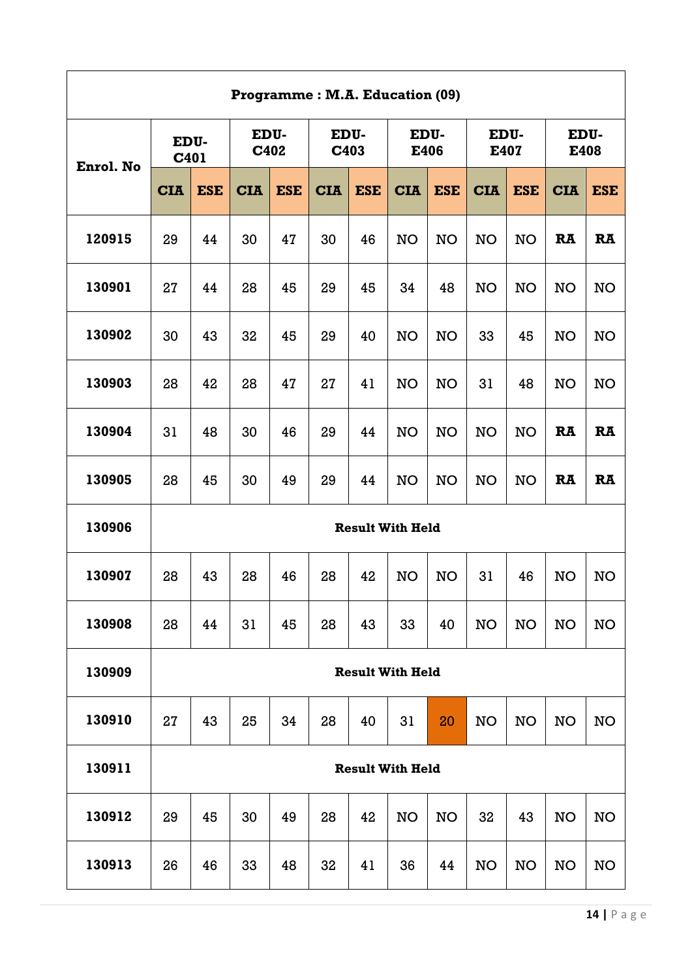|           | Programme: M.A. Education (09) |            |              |            |              |            |                         |            |              |            |              |            |  |  |
|-----------|--------------------------------|------------|--------------|------------|--------------|------------|-------------------------|------------|--------------|------------|--------------|------------|--|--|
| Enrol. No | EDU-<br>C401                   |            | EDU-<br>C402 |            | EDU-<br>C403 |            | EDU-<br>E406            |            | EDU-<br>E407 |            | EDU-<br>E408 |            |  |  |
|           | <b>CIA</b>                     | <b>ESE</b> | <b>CIA</b>   | <b>ESE</b> | <b>CIA</b>   | <b>ESE</b> | <b>CIA</b>              | <b>ESE</b> | <b>CIA</b>   | <b>ESE</b> | <b>CIA</b>   | <b>ESE</b> |  |  |
| 120915    | 29                             | 44         | 30           | 47         | 30           | 46         | <b>NO</b>               | <b>NO</b>  | <b>NO</b>    | <b>NO</b>  | <b>RA</b>    | <b>RA</b>  |  |  |
| 130901    | 27                             | 44         | 28           | 45         | 29           | 45         | 34                      | 48         | <b>NO</b>    | <b>NO</b>  | <b>NO</b>    | <b>NO</b>  |  |  |
| 130902    | 30                             | 43         | 32           | 45         | 29           | 40         | <b>NO</b>               | <b>NO</b>  | 33           | 45         | <b>NO</b>    | <b>NO</b>  |  |  |
| 130903    | 28                             | 42         | 28           | 47         | 27           | 41         | <b>NO</b>               | <b>NO</b>  | 31           | 48         | <b>NO</b>    | <b>NO</b>  |  |  |
| 130904    | 31                             | 48         | 30           | 46         | 29           | 44         | <b>NO</b>               | <b>NO</b>  | <b>NO</b>    | <b>NO</b>  | <b>RA</b>    | <b>RA</b>  |  |  |
| 130905    | 28                             | 45         | 30           | 49         | 29           | 44         | <b>NO</b>               | <b>NO</b>  | <b>NO</b>    | <b>NO</b>  | <b>RA</b>    | <b>RA</b>  |  |  |
| 130906    |                                |            |              |            |              |            | <b>Result With Held</b> |            |              |            |              |            |  |  |
| 130907    | 28                             | 43         | 28           | 46         | 28           | 42         | <b>NO</b>               | <b>NO</b>  | 31           | 46         | <b>NO</b>    | <b>NO</b>  |  |  |
| 130908    | 28                             | 44         | 31           | 45         | 28           | 43         | 33                      | 40         | <b>NO</b>    | <b>NO</b>  | <b>NO</b>    | <b>NO</b>  |  |  |
| 130909    |                                |            |              |            |              |            | <b>Result With Held</b> |            |              |            |              |            |  |  |
| 130910    | 27                             | 43         | 25           | 34         | 28           | 40         | 31                      | 20         | <b>NO</b>    | <b>NO</b>  | <b>NO</b>    | <b>NO</b>  |  |  |
| 130911    |                                |            |              |            |              |            | <b>Result With Held</b> |            |              |            |              |            |  |  |
| 130912    | 29                             | 45         | 30           | 49         | 28           | 42         | <b>NO</b>               | <b>NO</b>  | 32           | 43         | <b>NO</b>    | <b>NO</b>  |  |  |
| 130913    | 26                             | 46         | 33           | 48         | 32           | 41         | 36                      | 44         | <b>NO</b>    | <b>NO</b>  | <b>NO</b>    | <b>NO</b>  |  |  |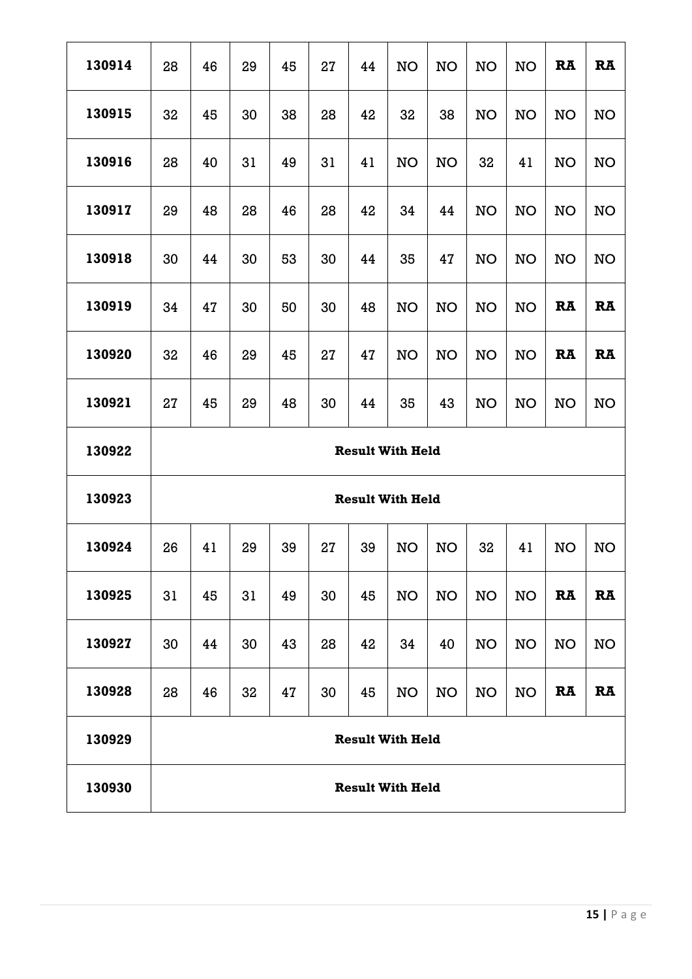| 130914 | 28                      | 46 | 29 | 45 | 27 | 44 | <b>NO</b>               | <b>NO</b> | <b>NO</b> | NO        | <b>RA</b> | <b>RA</b> |
|--------|-------------------------|----|----|----|----|----|-------------------------|-----------|-----------|-----------|-----------|-----------|
| 130915 | 32                      | 45 | 30 | 38 | 28 | 42 | 32                      | 38        | <b>NO</b> | NO        | <b>NO</b> | <b>NO</b> |
| 130916 | 28                      | 40 | 31 | 49 | 31 | 41 | <b>NO</b>               | <b>NO</b> | 32        | 41        | <b>NO</b> | <b>NO</b> |
| 130917 | 29                      | 48 | 28 | 46 | 28 | 42 | 34                      | 44        | <b>NO</b> | <b>NO</b> | <b>NO</b> | <b>NO</b> |
| 130918 | 30                      | 44 | 30 | 53 | 30 | 44 | 35                      | 47        | <b>NO</b> | <b>NO</b> | <b>NO</b> | <b>NO</b> |
| 130919 | 34                      | 47 | 30 | 50 | 30 | 48 | <b>NO</b>               | <b>NO</b> | <b>NO</b> | <b>NO</b> | <b>RA</b> | <b>RA</b> |
| 130920 | 32                      | 46 | 29 | 45 | 27 | 47 | <b>NO</b>               | <b>NO</b> | <b>NO</b> | <b>NO</b> | <b>RA</b> | <b>RA</b> |
| 130921 | 27                      | 45 | 29 | 48 | 30 | 44 | 35                      | 43        | <b>NO</b> | <b>NO</b> | <b>NO</b> | <b>NO</b> |
|        | <b>Result With Held</b> |    |    |    |    |    |                         |           |           |           |           |           |
| 130922 |                         |    |    |    |    |    |                         |           |           |           |           |           |
| 130923 |                         |    |    |    |    |    | <b>Result With Held</b> |           |           |           |           |           |
| 130924 | 26                      | 41 | 29 | 39 | 27 | 39 | <b>NO</b>               | <b>NO</b> | 32        | 41        | <b>NO</b> | <b>NO</b> |
| 130925 | 31                      | 45 | 31 | 49 | 30 | 45 | <b>NO</b>               | <b>NO</b> | <b>NO</b> | <b>NO</b> | <b>RA</b> | <b>RA</b> |
| 130927 | 30                      | 44 | 30 | 43 | 28 | 42 | 34                      | 40        | <b>NO</b> | <b>NO</b> | <b>NO</b> | <b>NO</b> |
| 130928 | 28                      | 46 | 32 | 47 | 30 | 45 | <b>NO</b>               | <b>NO</b> | <b>NO</b> | <b>NO</b> | RA        | <b>RA</b> |
| 130929 |                         |    |    |    |    |    | <b>Result With Held</b> |           |           |           |           |           |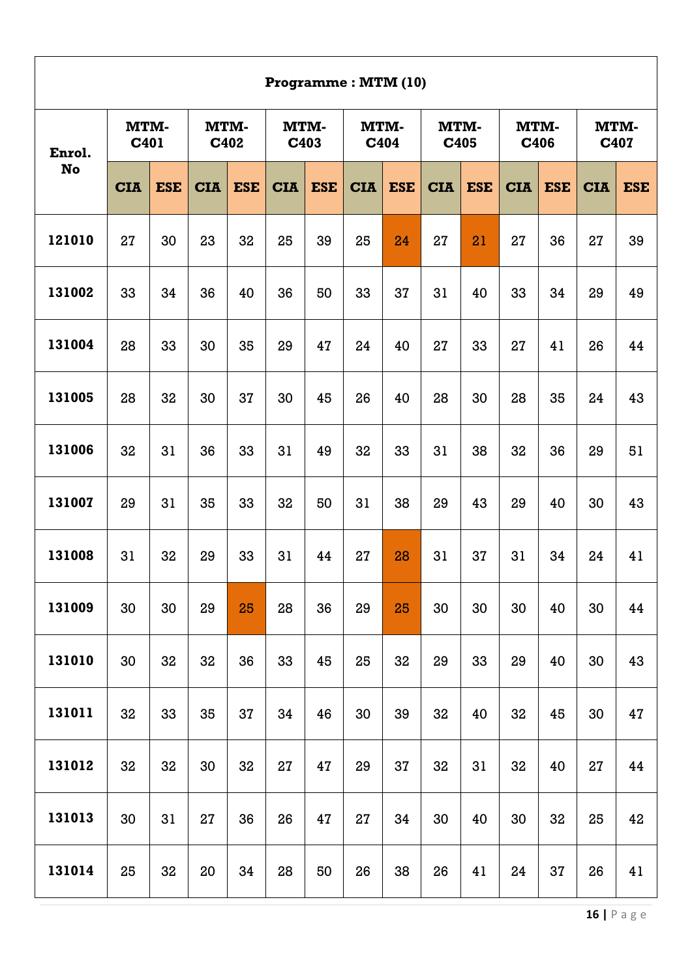|           | Programme: MTM (10) |                              |            |            |              |            |              |            |              |            |            |            |            |                     |  |
|-----------|---------------------|------------------------------|------------|------------|--------------|------------|--------------|------------|--------------|------------|------------|------------|------------|---------------------|--|
| Enrol.    |                     | MTM-<br>MTM-<br>C401<br>C402 |            |            | MTM-<br>C403 |            | MTM-<br>C404 |            | MTM-<br>C405 |            | C406       | MTM-       |            | <b>MTM-</b><br>C407 |  |
| <b>No</b> | <b>CIA</b>          | <b>ESE</b>                   | <b>CIA</b> | <b>ESE</b> | <b>CIA</b>   | <b>ESE</b> | <b>CIA</b>   | <b>ESE</b> | <b>CIA</b>   | <b>ESE</b> | <b>CIA</b> | <b>ESE</b> | <b>CIA</b> | <b>ESE</b>          |  |
| 121010    | 27                  | 30                           | 23         | 32         | 25           | 39         | 25           | 24         | 27           | 21         | 27         | 36         | 27         | 39                  |  |
| 131002    | 33                  | 34                           | 36         | 40         | 36           | 50         | 33           | 37         | 31           | 40         | 33         | 34         | 29         | 49                  |  |
| 131004    | 28                  | 33                           | 30         | 35         | 29           | 47         | 24           | 40         | 27           | 33         | 27         | 41         | 26         | 44                  |  |
| 131005    | 28                  | 32                           | 30         | 37         | 30           | 45         | 26           | 40         | 28           | 30         | 28         | 35         | 24         | 43                  |  |
| 131006    | 32                  | 31                           | 36         | 33         | 31           | 49         | 32           | 33         | 31           | 38         | 32         | 36         | 29         | 51                  |  |
| 131007    | 29                  | 31                           | 35         | 33         | 32           | 50         | 31           | 38         | 29           | 43         | 29         | 40         | 30         | 43                  |  |
| 131008    | 31                  | 32                           | 29         | 33         | 31           | 44         | 27           | 28         | 31           | 37         | 31         | 34         | 24         | 41                  |  |
| 131009    | 30                  | 30                           | 29         | 25         | 28           | 36         | 29           | 25         | 30           | 30         | 30         | 40         | 30         | 44                  |  |
| 131010    | 30                  | 32                           | 32         | 36         | 33           | 45         | 25           | 32         | 29           | 33         | 29         | 40         | 30         | 43                  |  |
| 131011    | 32                  | 33                           | 35         | 37         | 34           | 46         | 30           | 39         | 32           | 40         | 32         | 45         | 30         | 47                  |  |
| 131012    | 32                  | 32                           | 30         | 32         | 27           | 47         | 29           | 37         | 32           | 31         | 32         | 40         | 27         | 44                  |  |
| 131013    | 30                  | 31                           | 27         | 36         | 26           | 47         | 27           | 34         | 30           | 40         | 30         | 32         | 25         | 42                  |  |
| 131014    | 25                  | 32                           | 20         | 34         | 28           | 50         | 26           | 38         | 26           | 41         | 24         | 37         | 26         | 41                  |  |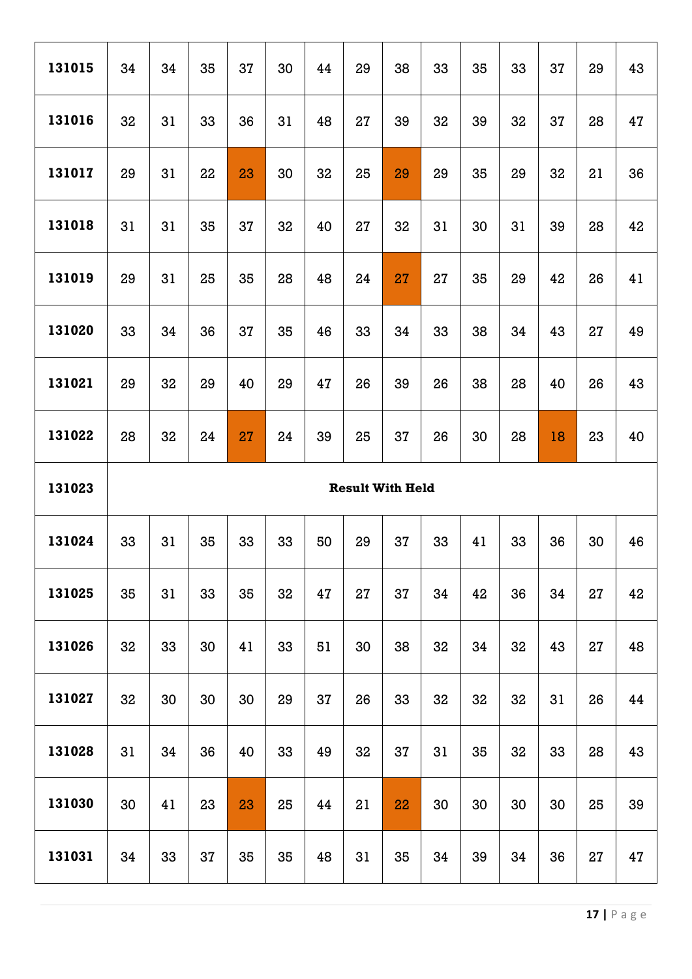| 131015 | 34                      | 34 | 35 | 37 | 30 | 44 | 29 | 38 | 33 | 35 | 33 | 37 | 29 | 43 |
|--------|-------------------------|----|----|----|----|----|----|----|----|----|----|----|----|----|
| 131016 | 32                      | 31 | 33 | 36 | 31 | 48 | 27 | 39 | 32 | 39 | 32 | 37 | 28 | 47 |
| 131017 | 29                      | 31 | 22 | 23 | 30 | 32 | 25 | 29 | 29 | 35 | 29 | 32 | 21 | 36 |
| 131018 | 31                      | 31 | 35 | 37 | 32 | 40 | 27 | 32 | 31 | 30 | 31 | 39 | 28 | 42 |
| 131019 | 29                      | 31 | 25 | 35 | 28 | 48 | 24 | 27 | 27 | 35 | 29 | 42 | 26 | 41 |
| 131020 | 33                      | 34 | 36 | 37 | 35 | 46 | 33 | 34 | 33 | 38 | 34 | 43 | 27 | 49 |
| 131021 | 29                      | 32 | 29 | 40 | 29 | 47 | 26 | 39 | 26 | 38 | 28 | 40 | 26 | 43 |
| 131022 | 28                      | 32 | 24 | 27 | 24 | 39 | 25 | 37 | 26 | 30 | 28 | 18 | 23 | 40 |
|        | <b>Result With Held</b> |    |    |    |    |    |    |    |    |    |    |    |    |    |
| 131023 |                         |    |    |    |    |    |    |    |    |    |    |    |    |    |
| 131024 | 33                      | 31 | 35 | 33 | 33 | 50 | 29 | 37 | 33 | 41 | 33 | 36 | 30 | 46 |
| 131025 | 35                      | 31 | 33 | 35 | 32 | 47 | 27 | 37 | 34 | 42 | 36 | 34 | 27 | 42 |
| 131026 | 32                      | 33 | 30 | 41 | 33 | 51 | 30 | 38 | 32 | 34 | 32 | 43 | 27 | 48 |
| 131027 | 32                      | 30 | 30 | 30 | 29 | 37 | 26 | 33 | 32 | 32 | 32 | 31 | 26 | 44 |
| 131028 | 31                      | 34 | 36 | 40 | 33 | 49 | 32 | 37 | 31 | 35 | 32 | 33 | 28 | 43 |
| 131030 | 30                      | 41 | 23 | 23 | 25 | 44 | 21 | 22 | 30 | 30 | 30 | 30 | 25 | 39 |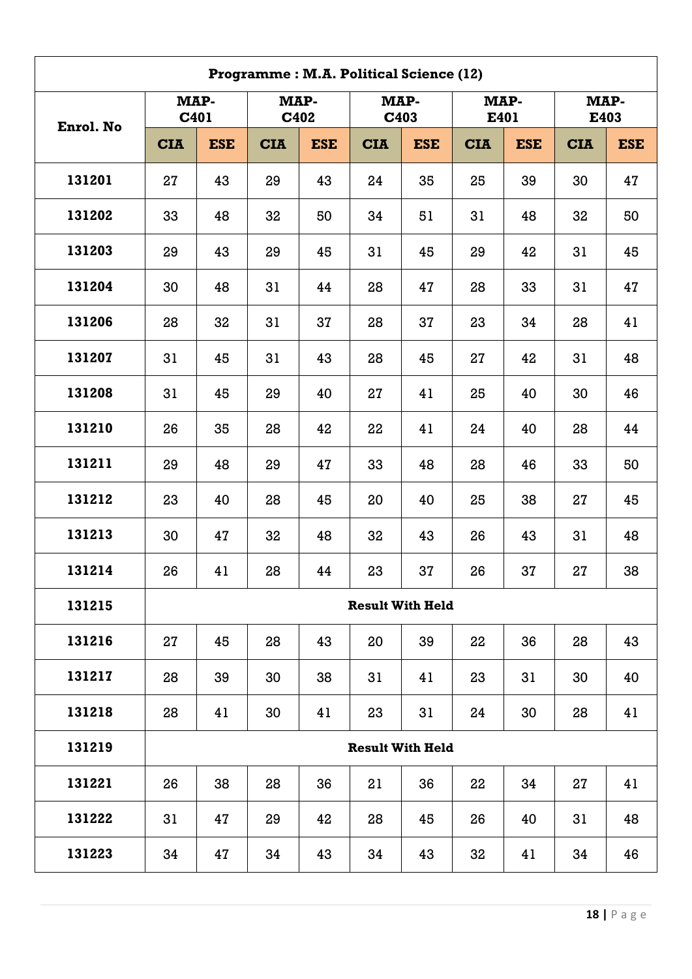|           | Programme: M.A. Political Science (12) |            |            |              |                         |              |            |            |              |            |  |  |  |  |
|-----------|----------------------------------------|------------|------------|--------------|-------------------------|--------------|------------|------------|--------------|------------|--|--|--|--|
|           | MAP-<br>C401                           |            |            | MAP-<br>C402 |                         | MAP-<br>C403 | E401       | MAP-       | MAP-<br>E403 |            |  |  |  |  |
| Enrol. No | <b>CIA</b>                             | <b>ESE</b> | <b>CIA</b> | <b>ESE</b>   | <b>CIA</b>              | <b>ESE</b>   | <b>CIA</b> | <b>ESE</b> | <b>CIA</b>   | <b>ESE</b> |  |  |  |  |
| 131201    | 27                                     | 43         | 29         | 43           | 24                      | 35           | 25         | 39         | 30           | 47         |  |  |  |  |
| 131202    | 33                                     | 48         | 32         | 50           | 34                      | 51           | 31         | 48         | 32           | 50         |  |  |  |  |
| 131203    | 29                                     | 43         | 29         | 45           | 31                      | 45           | 29         | 42         | 31           | 45         |  |  |  |  |
| 131204    | 30                                     | 48         | 31         | 44           | 28                      | 47           | 28         | 33         | 31           | 47         |  |  |  |  |
| 131206    | 28                                     | 32         | 31         | 37           | 28                      | 37           | 23         | 34         | 28           | 41         |  |  |  |  |
| 131207    | 31                                     | 45         | 31         | 43           | 28                      | 45           | 27         | 42         | 31           | 48         |  |  |  |  |
| 131208    | 31                                     | 45         | 29         | 40           | 27                      | 41           | 25         | 40         | 30           | 46         |  |  |  |  |
| 131210    | 26                                     | 35         | 28         | 42           | 22                      | 41           | 24         | 40         | 28           | 44         |  |  |  |  |
| 131211    | 29                                     | 48         | 29         | 47           | 33                      | 48           | 28         | 46         | 33           | 50         |  |  |  |  |
| 131212    | 23                                     | 40         | 28         | 45           | 20                      | 40           | 25         | 38         | 27           | 45         |  |  |  |  |
| 131213    | 30                                     | 47         | 32         | 48           | 32                      | 43           | 26         | 43         | 31           | 48         |  |  |  |  |
| 131214    | 26                                     | 41         | 28         | 44           | 23                      | 37           | 26         | 37         | 27           | 38         |  |  |  |  |
| 131215    |                                        |            |            |              | <b>Result With Held</b> |              |            |            |              |            |  |  |  |  |
| 131216    | 27                                     | 45         | 28         | 43           | 20                      | 39           | 22         | 36         | 28           | 43         |  |  |  |  |
| 131217    | 28                                     | 39         | 30         | 38           | 31                      | 41           | 23         | 31         | 30           | 40         |  |  |  |  |
| 131218    | 28                                     | 41         | 30         | 41           | 23                      | 31           | 24         | 30         | 28           | 41         |  |  |  |  |
| 131219    |                                        |            |            |              | <b>Result With Held</b> |              |            |            |              |            |  |  |  |  |
| 131221    | 26                                     | 38         | 28         | 36           | 21                      | 36           | 22         | 34         | 27           | 41         |  |  |  |  |
| 131222    | 31                                     | 47         | 29         | 42           | 28                      | 45           | 26         | 40         | 31           | 48         |  |  |  |  |
| 131223    | 34                                     | 47         | 34         | 43           | 34                      | 43           | 32         | 41         | 34           | 46         |  |  |  |  |